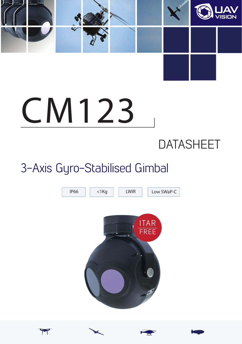

# **CM123**

# **DATASHEET**

# 3-Axis Gyro-Stabilised Gimbal